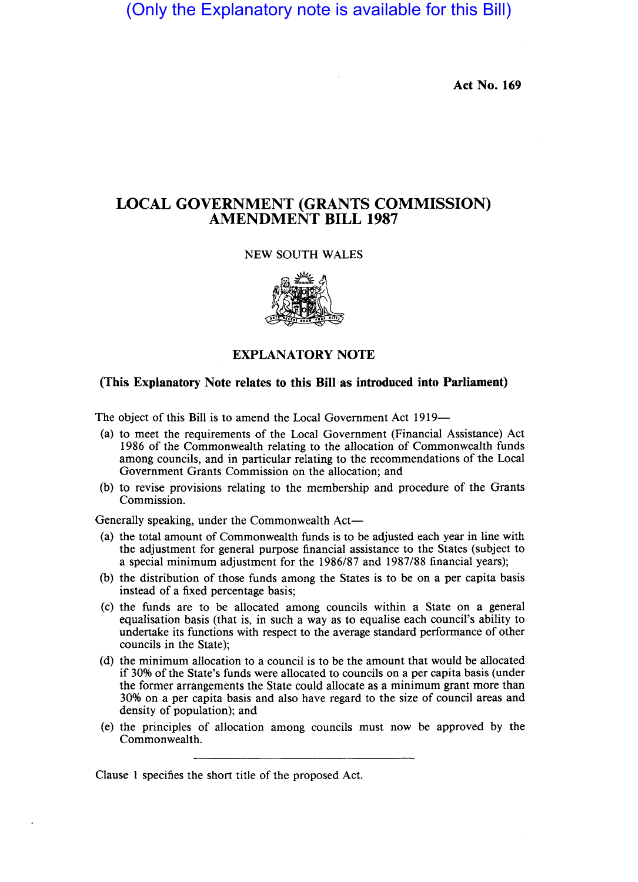(Only the Explanatory note is available for this Bill)

**Act** No. 169

## **LOCAL GOVERNMENT (GRANTS COMMISSION) AMENDMENT BILL 1987**

#### NEW SOUTH WALES



### **EXPLANATORY NOTE**

### **(This Explanatory Note relates to this Bill as introduced into Parliament)**

The object of this Bill is to amend the Local Government Act 1919-

- (a) to meet the requirements of the Local Government (Financial Assistance) Act 1986 of the Commonwealth relating to the allocation of Commonwealth funds among councils, and in particular relating to the recommendations of the Local Government Grants Commission on the allocation; and
- (b) to revise provisions relating to the membership and procedure of the Grants Commission.

Generally speaking, under the Commonwealth Act-

- (a) the total amount of Commonwealth funds is to be adjusted each year in line with the adjustment for general purpose financial assistance to the States (subject to a special minimum adjustment for the 1986/87 and 1987/88 financial years);
- (b) the distribution of those funds among the States is to be on a per capita basis instead of a fixed percentage basis;
- (c) the funds are to be allocated among councils within a State on a general equalisation basis (that is, in such a way as to equalise each council's ability to undertake its functions with respect to the average standard performance of other councils in the State);
- (d) the minimum allocation to a council is to be the amount that would be allocated if 30% of the State's funds were allocated to councils on a per capita basis (under the former arrangements the State could allocate as a minimum grant more than 30% on a per capita basis and also have regard to the size of council areas and density of population); and
- (e) the principles of allocation among councils must now be approved by the Commonwealth.

Clause 1 specifies the short title of the proposed Act.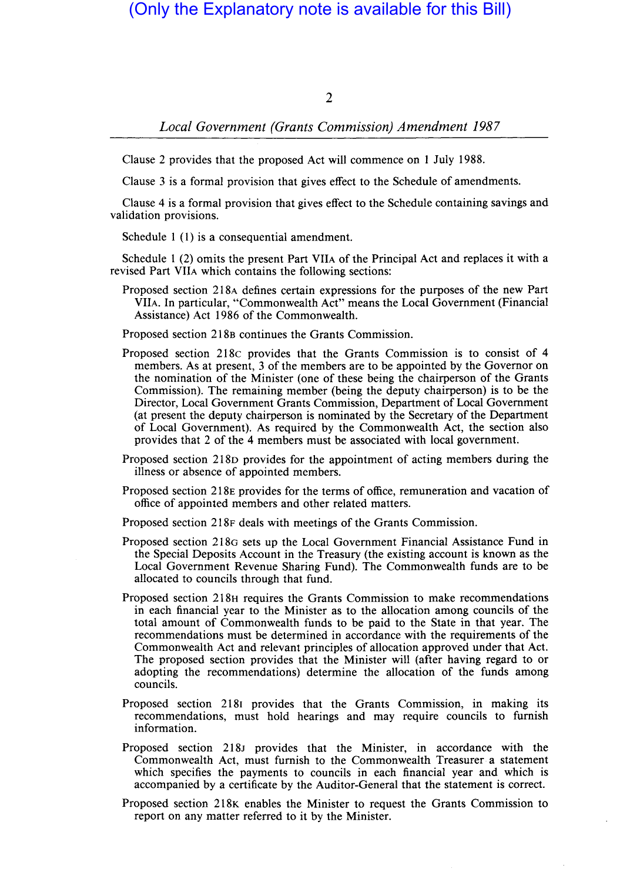## (Only the Explanatory note is available for this Bill)

### $\mathcal{D}$

### *Local Government (Grants Commission) Amendment 1987*

Clause 2 provides that the proposed Act will commence on 1 July 1988.

Clause 3 is a formal provision that gives effect to the Schedule of amendments.

Clause 4 is a formal provision that gives effect to the Schedule containing savings and validation provisions.

Schedule 1 $(1)$  is a consequential amendment.

Schedule  $1(2)$  omits the present Part VIIA of the Principal Act and replaces it with a revised Part VIIA which contains the following sections:

Proposed section 218A defines certain expressions for the purposes of the new Part YHA. **In** particular, "Commonwealth Act" means the Local Government (Financial Assistance) Act 1986 of the Commonwealth.

Proposed section 218B continues the Grants Commission.

- Proposed section 218 $\sigma$  provides that the Grants Commission is to consist of 4 members. As at present, 3 of the members are to be appointed by the Governor on the nomination of the Minister (one of these being the chairperson of the Grants Commission). The remaining member (being the deputy chairperson) is to be the Director, Local Government Grants Commission, Department of Local Government (at present the deputy chairperson is nominated by the Secretary of the Department of Local Government). As required by the Commonwealth Act, the section also provides that 2 of the 4 members must be associated with local government.
- Proposed section 218D provides for the appointment of acting members during the illness or absence of appointed members.
- Proposed section 218E provides for the terms of office, remuneration and vacation of office of appointed members and other related matters.

Proposed section 218F deals with meetings of the Grants Commission.

- Proposed section 218G sets up the Local Government Financial Assistance Fund in the Special Deposits Account in the Treasury (the existing account is known as the Local Government Revenue Sharing Fund). The Commonwealth funds are to be. allocated to councils through that fund.
- Proposed section 218H requires the Grants Commission to make recommendations in each financial year to the Minister as to the allocation among councils of the total amount of Commonwealth funds to be paid to the State in that year. The recommendations must be determined in accordance with the requirements of the Commonwealth Act and relevant principles of allocation approved under that Act. The proposed section provides that the Minister will (after having regard to or adopting the recommendations) determine the allocation of the funds among councils.
- Proposed section 21Sr provides that the Grants Commission, in making its recommendations, must hold hearings and may require councils to furnish information.
- Proposed section 218J provides that the Minister, in accordance with the Commonwealth Act, must furnish to the Commonwealth Treasurer a statement which specifies the payments to councils in each financial year and which is accompanied by a certificate by the Auditor-General that the statement is correct.
- Proposed section 218K enables the Minister to request the Grants Commission to report on any matter referred to it by the Minister.